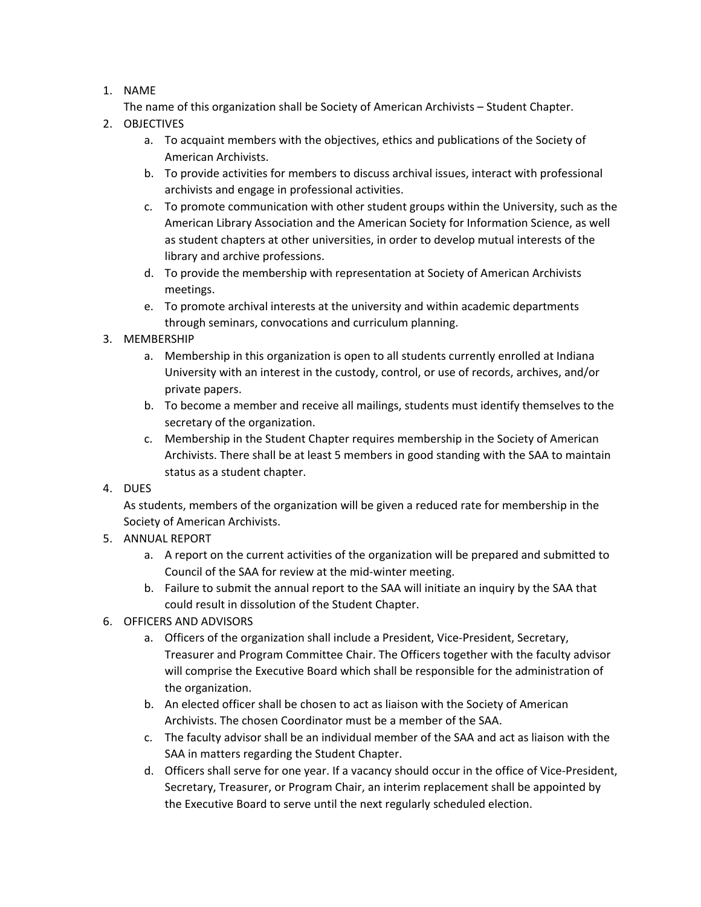## 1. NAME

The name of this organization shall be Society of American Archivists – Student Chapter.

- 2. OBJECTIVES
	- a. To acquaint members with the objectives, ethics and publications of the Society of American Archivists.
	- b. To provide activities for members to discuss archival issues, interact with professional archivists and engage in professional activities.
	- c. To promote communication with other student groups within the University, such as the American Library Association and the American Society for Information Science, as well as student chapters at other universities, in order to develop mutual interests of the library and archive professions.
	- d. To provide the membership with representation at Society of American Archivists meetings.
	- e. To promote archival interests at the university and within academic departments through seminars, convocations and curriculum planning.
- 3. MEMBERSHIP
	- a. Membership in this organization is open to all students currently enrolled at Indiana University with an interest in the custody, control, or use of records, archives, and/or private papers.
	- b. To become a member and receive all mailings, students must identify themselves to the secretary of the organization.
	- c. Membership in the Student Chapter requires membership in the Society of American Archivists. There shall be at least 5 members in good standing with the SAA to maintain status as a student chapter.
- 4. DUES

As students, members of the organization will be given a reduced rate for membership in the Society of American Archivists.

- 5. ANNUAL REPORT
	- a. A report on the current activities of the organization will be prepared and submitted to Council of the SAA for review at the mid-winter meeting.
	- b. Failure to submit the annual report to the SAA will initiate an inquiry by the SAA that could result in dissolution of the Student Chapter.
- 6. OFFICERS AND ADVISORS
	- a. Officers of the organization shall include a President, Vice-President, Secretary, Treasurer and Program Committee Chair. The Officers together with the faculty advisor will comprise the Executive Board which shall be responsible for the administration of the organization.
	- b. An elected officer shall be chosen to act as liaison with the Society of American Archivists. The chosen Coordinator must be a member of the SAA.
	- c. The faculty advisor shall be an individual member of the SAA and act as liaison with the SAA in matters regarding the Student Chapter.
	- d. Officers shall serve for one year. If a vacancy should occur in the office of Vice-President, Secretary, Treasurer, or Program Chair, an interim replacement shall be appointed by the Executive Board to serve until the next regularly scheduled election.